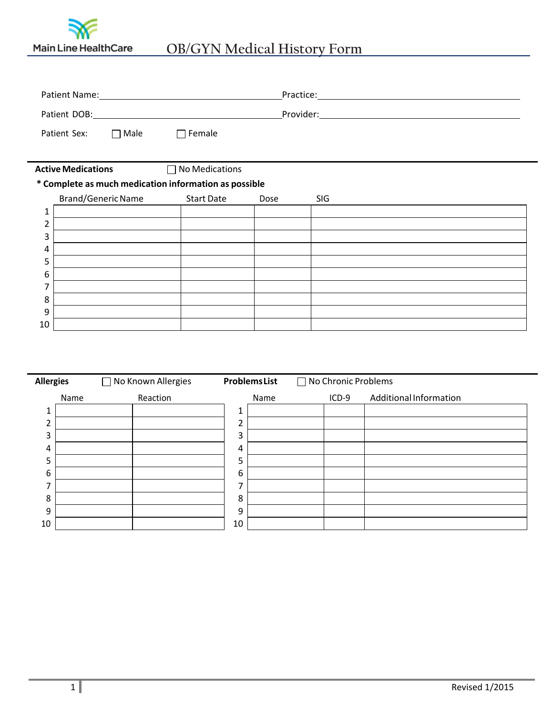

| Patient Name: Name: Name and Name and Name and Name and Name and Name and Name and Name and Name and Name and N |                           |  |                                                       | Practice: Management Contract Contract Contract Contract Contract Contract Contract Contract Contract Contract Contract Contract Contract Contract Contract Contract Contract Contract Contract Contract Contract Contract Con |     |  |  |  |  |
|-----------------------------------------------------------------------------------------------------------------|---------------------------|--|-------------------------------------------------------|--------------------------------------------------------------------------------------------------------------------------------------------------------------------------------------------------------------------------------|-----|--|--|--|--|
|                                                                                                                 |                           |  |                                                       |                                                                                                                                                                                                                                |     |  |  |  |  |
|                                                                                                                 | Patient Sex: □ Male       |  | $\Box$ Female                                         |                                                                                                                                                                                                                                |     |  |  |  |  |
|                                                                                                                 | <b>Active Medications</b> |  | $\Box$ No Medications                                 |                                                                                                                                                                                                                                |     |  |  |  |  |
|                                                                                                                 |                           |  | * Complete as much medication information as possible |                                                                                                                                                                                                                                |     |  |  |  |  |
|                                                                                                                 | <b>Brand/Generic Name</b> |  | <b>Start Date</b>                                     | Dose                                                                                                                                                                                                                           | SIG |  |  |  |  |
| 1                                                                                                               |                           |  |                                                       |                                                                                                                                                                                                                                |     |  |  |  |  |
| 2                                                                                                               |                           |  |                                                       |                                                                                                                                                                                                                                |     |  |  |  |  |
| 3                                                                                                               |                           |  |                                                       |                                                                                                                                                                                                                                |     |  |  |  |  |
| 4                                                                                                               |                           |  |                                                       |                                                                                                                                                                                                                                |     |  |  |  |  |
| 5                                                                                                               |                           |  |                                                       |                                                                                                                                                                                                                                |     |  |  |  |  |
| 6                                                                                                               |                           |  |                                                       |                                                                                                                                                                                                                                |     |  |  |  |  |
|                                                                                                                 |                           |  |                                                       |                                                                                                                                                                                                                                |     |  |  |  |  |
| 8                                                                                                               |                           |  |                                                       |                                                                                                                                                                                                                                |     |  |  |  |  |
| 9                                                                                                               |                           |  |                                                       |                                                                                                                                                                                                                                |     |  |  |  |  |
| 10                                                                                                              |                           |  |                                                       |                                                                                                                                                                                                                                |     |  |  |  |  |

| <b>Allergies</b> |      | □ No Known Allergies |    | <b>ProblemsList</b> | □ No Chronic Problems |                        |
|------------------|------|----------------------|----|---------------------|-----------------------|------------------------|
|                  | Name | Reaction             |    | Name                | $ICD-9$               | Additional Information |
| 1                |      |                      | 1  |                     |                       |                        |
| h                |      |                      | 2  |                     |                       |                        |
| 3                |      |                      | 3  |                     |                       |                        |
| 4                |      |                      | 4  |                     |                       |                        |
| 5                |      |                      | 5  |                     |                       |                        |
| 6                |      |                      | 6  |                     |                       |                        |
| 7                |      |                      | ⇁  |                     |                       |                        |
| 8                |      |                      | 8  |                     |                       |                        |
| 9                |      |                      | 9  |                     |                       |                        |
| 10               |      |                      | 10 |                     |                       |                        |

 $\overline{\phantom{0}}$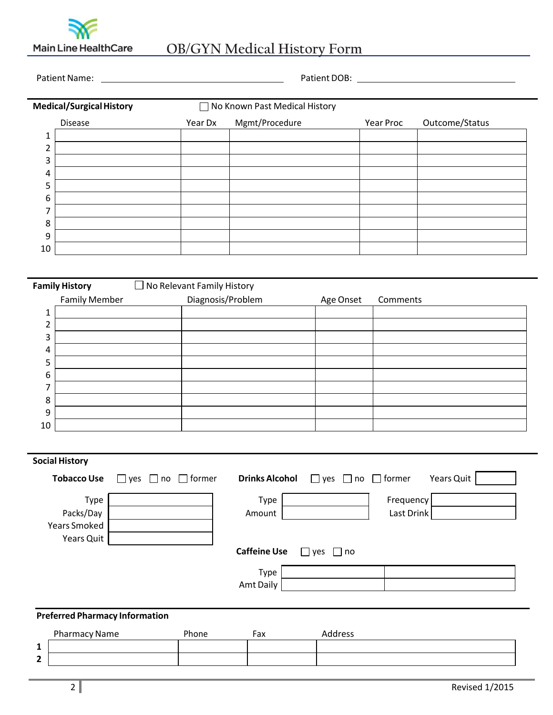

## Main Line HealthCare OB/GYN Medical History Form

Patient Name: Patient DOB:

| <b>Medical/Surgical History</b> |                |         | □ No Known Past Medical History |           |                |  |  |
|---------------------------------|----------------|---------|---------------------------------|-----------|----------------|--|--|
|                                 | <b>Disease</b> | Year Dx | Mgmt/Procedure                  | Year Proc | Outcome/Status |  |  |
| ᅩ                               |                |         |                                 |           |                |  |  |
| າ<br>۷                          |                |         |                                 |           |                |  |  |
| 3                               |                |         |                                 |           |                |  |  |
| 4                               |                |         |                                 |           |                |  |  |
| 5                               |                |         |                                 |           |                |  |  |
| 6                               |                |         |                                 |           |                |  |  |
| 7                               |                |         |                                 |           |                |  |  |
| 8                               |                |         |                                 |           |                |  |  |
| 9                               |                |         |                                 |           |                |  |  |
| 10                              |                |         |                                 |           |                |  |  |

|                      | <b>Family History</b> | $\square$ No Relevant Family History |           |          |
|----------------------|-----------------------|--------------------------------------|-----------|----------|
| <b>Family Member</b> |                       | Diagnosis/Problem                    | Age Onset | Comments |
| 1                    |                       |                                      |           |          |
| ∍                    |                       |                                      |           |          |
| 3                    |                       |                                      |           |          |
| 4                    |                       |                                      |           |          |
| п<br>כ               |                       |                                      |           |          |
| 6                    |                       |                                      |           |          |
| ⇁                    |                       |                                      |           |          |
| 8                    |                       |                                      |           |          |
| 9                    |                       |                                      |           |          |
| 10                   |                       |                                      |           |          |

| <b>Social History</b>                 |                                      |                       |                                    |            |            |
|---------------------------------------|--------------------------------------|-----------------------|------------------------------------|------------|------------|
| <b>Tobacco Use</b>                    | $\Box$ former<br>yes<br>l Ino<br>l 1 | <b>Drinks Alcohol</b> | $\Box$ yes $\Box$ no $\Box$ former |            | Years Quit |
| Type                                  |                                      | Type                  |                                    | Frequency  |            |
| Packs/Day                             |                                      | Amount                |                                    | Last Drink |            |
| <b>Years Smoked</b>                   |                                      |                       |                                    |            |            |
| Years Quit                            |                                      |                       |                                    |            |            |
|                                       |                                      | <b>Caffeine Use</b>   | $\Box$ no<br>$\vert$ ves           |            |            |
|                                       |                                      | Type                  |                                    |            |            |
|                                       |                                      | Amt Daily             |                                    |            |            |
|                                       |                                      |                       |                                    |            |            |
| <b>Preferred Pharmacy Information</b> |                                      |                       |                                    |            |            |

|                                  | <b>Pharmacy Name</b> | Phone | Fax | <b>\ddress</b> |
|----------------------------------|----------------------|-------|-----|----------------|
| л                                |                      |       |     |                |
| $\ddot{\phantom{1}}$<br><u>.</u> |                      |       |     |                |